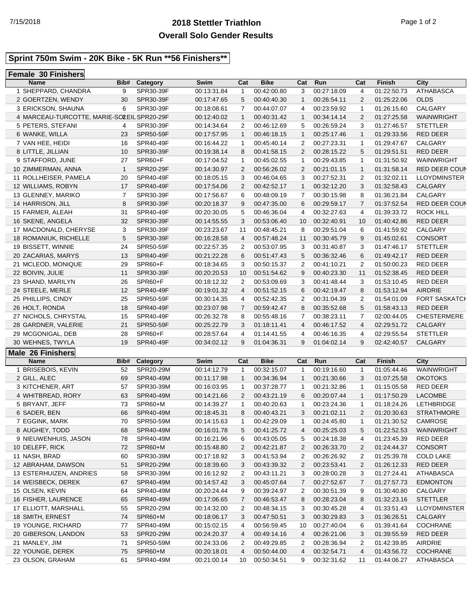## **2018 Stettler Triathlon** 7/15/2018 Page 1 of 2 **Overall Solo Gender Results**

#### **Sprint 750m Swim - 20K Bike - 5K Run \*\*56 Finishers\*\***

# **Female 30 Finishers**

| <b>Name</b>                                | Bib#         | Category         | Swim        | Cat            | <b>Bike</b> | Cat            | Run         | Cat            | Finish        | City                 |
|--------------------------------------------|--------------|------------------|-------------|----------------|-------------|----------------|-------------|----------------|---------------|----------------------|
| 1 SHEPPARD, CHANDRA                        | 9            | SPR30-39F        | 00:13:31.84 | 1              | 00:42:00.80 | 3              | 00:27:18.09 | 4              | 01:22:50.73   | <b>ATHABASCA</b>     |
| 2 GOERTZEN, WENDY                          | 30           | SPR30-39F        | 00:17:47.65 | 5              | 00:40:40.30 | $\mathbf{1}$   | 00:26:54.11 | 2              | 01:25:22.06   | <b>OLDS</b>          |
| 3 ERICKSON, SHAUNA                         | 6            | SPR30-39F        | 00:18:08.61 | 7              | 00:44:07.07 | $\overline{4}$ | 00:23:59.92 | $\mathbf{1}$   | 01:26:15.60   | CALGARY              |
| 4 MARCEAU-TURCOTTE, MARIE-SOLEIL SPR20-29F |              |                  | 00:12:40.02 | $\mathbf{1}$   | 00:40:31.42 | $\mathbf{1}$   | 00:34:14.14 | 2              | 01:27:25.58   | WAINWRIGHT           |
| 5 PETERS, STEFANI                          | 4            | SPR30-39F        | 00:14:34.64 | 2              | 00:46:12.69 | 5              | 00:26:59.24 | 3              | 01:27:46.57   | <b>STETTLER</b>      |
| 6 WANKE, WILLA                             | 23           | <b>SPR50-59F</b> | 00:17:57.95 | 1              | 00:46:18.15 | $\mathbf{1}$   | 00:25:17.46 | $\mathbf{1}$   | 01:29:33.56   | <b>RED DEER</b>      |
| 7 VAN HEE, HEIDI                           | 16           | SPR40-49F        | 00:16:44.22 | 1              | 00:45:40.14 | 2              | 00:27:23.31 | $\mathbf{1}$   | 01:29:47.67   | CALGARY              |
| 8 LITTLE, JILLIAN                          | 10           | SPR30-39F        | 00:19:38.14 | 8              | 00:41:58.15 | 2              | 00:28:15.22 | 5              | 01:29:51.51   | <b>RED DEER</b>      |
| 9 STAFFORD, JUNE                           | 27           | SPR60+F          | 00:17:04.52 | 1              | 00:45:02.55 | $\mathbf{1}$   | 00:29:43.85 | 1              | 01:31:50.92   | WAINWRIGHT           |
| 10 ZIMMERMAN, ANNA                         | $\mathbf{1}$ | <b>SPR20-29F</b> | 00:14:30.97 | 2              | 00:56:26.02 | $\overline{2}$ | 00:21:01.15 | $\mathbf{1}$   | 01:31:58.14   | RED DEER COUN        |
| 11 ROLLHEISER, PAMELA                      | 20           | SPR40-49F        | 00:18:05.15 | 3              | 00:46:04.65 | 3              | 00:27:52.31 | 2              | 01:32:02.11   | <b>LLOYDMINSTER</b>  |
| 12 WILLIAMS, ROBYN                         | 17           | SPR40-49F        | 00:17:54.06 | 2              | 00:42:52.17 | $\mathbf{1}$   | 00:32:12.20 | 3              | 01:32:58.43   | CALGARY              |
| 13 GLENNEY, MARIKO                         | 7            | SPR30-39F        | 00:17:56.67 | 6              | 00:48:09.19 | $\overline{7}$ | 00:30:15.98 | 8              | 01:36:21.84   | CALGARY              |
| 14 HARRISON, JILL                          | 8            | SPR30-39F        | 00:20:18.37 | 9              | 00:47:35.00 | 6              | 00:29:59.17 | $\overline{7}$ | 01:37:52.54   | RED DEER COUN        |
| 15 FARMER, ALEAH                           | 31           | SPR40-49F        | 00:20:30.05 | 5              | 00:46:36.04 | $\overline{4}$ | 00:32:27.63 | 4              | 01:39:33.72   | <b>ROCK HILL</b>     |
| 16 SKENE, ANGELA                           | 32           | SPR30-39F        | 00:14:55.55 | 3              | 00:53:06.40 | 10             | 00:32:40.91 | 10             | 01:40:42.86   | RED DEER             |
| 17 MACDONALD, CHERYSE                      | 3            | SPR30-39F        | 00:23:23.67 | 11             | 00:48:45.21 | 8              | 00:29:51.04 | 6              | 01:41:59.92   | CALGARY              |
| 18 ROMANIUK, RICHELLE                      | 5            | SPR30-39F        | 00:16:28.58 | 4              | 00:57:48.24 | 11             | 00:30:45.79 | 9              | 01:45:02.61   | <b>CONSORT</b>       |
| 19 BISSETT, WINNIE                         | 24           | SPR50-59F        | 00:22:57.35 | 2              | 00:53:07.95 | 3              | 00:31:40.87 | 3              | 01:47:46.17   | <b>STETTLER</b>      |
| 20 ZACARIAS, MARYS                         | 13           | SPR40-49F        | 00:21:22.28 | 6              | 00:51:47.43 | 5              | 00:36:32.46 | 6              | 01:49:42.17   | <b>RED DEER</b>      |
| 21 MCLEOD, MONIQUE                         | 29           | SPR60+F          | 00:18:34.65 | 3              | 00:50:15.37 | 2              | 00:41:10.21 | 2              | 01:50:00.23   | <b>RED DEER</b>      |
| 22 BOIVIN, JULIE                           | 11           | SPR30-39F        | 00:20:20.53 | 10             | 00:51:54.62 | 9              | 00:40:23.30 | 11             | 01:52:38.45   | RED DEER             |
| 23 SHAND, MARILYN                          | 26           | SPR60+F          | 00:18:12.32 | 2              | 00:53:09.69 | 3              | 00:41:48.44 | 3              | 01:53:10.45   | RED DEER             |
| 24 STEELE, MERLE                           | 12           | SPR40-49F        | 00:19:01.32 | 4              | 00:51:52.15 | 6              | 00:42:19.47 | 8              | 01:53:12.94   | <b>AIRDRIE</b>       |
| 25 PHILLIPS, CINDY                         | 25           | SPR50-59F        | 00:30:14.35 | 4              | 00:52:42.35 | 2              | 00:31:04.39 | 2              | 01:54:01.09   | <b>FORT SASKATCH</b> |
| 26 HOLT, RONDA                             | 18           | SPR40-49F        | 00:23:07.98 | $\overline{7}$ | 00:59:42.47 | 8              | 00:35:52.68 | 5              | 01:58:43.13   | <b>RED DEER</b>      |
| 27 NICHOLS, CHRYSTAL                       | 15           | SPR40-49F        | 00:26:32.78 | 8              | 00:55:48.16 | $\overline{7}$ | 00:38:23.11 | 7              | 02:00:44.05   | <b>CHESTERMERE</b>   |
| 28 GARDNER, VALERIE                        | 21           | SPR50-59F        | 00:25:22.79 | 3              | 01:18:11.41 | $\overline{4}$ | 00:46:17.52 | 4              | 02:29:51.72   | CALGARY              |
| 29 MCGONIGAL, DEB                          | 28           | SPR60+F          | 00:28:57.64 | 4              | 01:14:41.55 | 4              | 00:46:16.35 | 4              | 02:29:55.54   | <b>STETTLER</b>      |
| 30 WEHNES, TWYLA                           | 19           | SPR40-49F        | 00:34:02.12 | 9              | 01:04:36.31 | 9              | 01:04:02.14 | 9              | 02:42:40.57   | CALGARY              |
| Male 26 Finishers                          |              |                  |             |                |             |                |             |                |               |                      |
| <b>Name</b>                                | Bib#         | Category         | Swim        | Cat            | <b>Bike</b> | Cat            | Run         | Cat            | <b>Finish</b> | City                 |
| 1 BRISEBOIS, KEVIN                         | 52           | SPR20-29M        | 00:14:12.79 | 1              | 00:32:15.07 | -1             | 00:19:16.60 | $\mathbf{1}$   | 01:05:44.46   | WAINWRIGHT           |
| 2 GILL, ALEC                               | 69           | SPR40-49M        | 00:11:17.98 | 1              | 00:34:36.94 | $\mathbf{1}$   | 00:21:30.66 | 3              | 01:07:25.58   | <b>OKOTOKS</b>       |
| 3 KITCHENER, ART                           | 57           | SPR30-39M        | 00:16:03.95 | 1              | 00:37:28.77 | $\mathbf{1}$   | 00:21:32.86 | $\mathbf{1}$   | 01:15:05.58   | RED DEER             |
| 4 WHITBREAD, RORY                          | 63           | SPR40-49M        | 00:14:21.66 | 2              | 00:43:21.19 | 6              | 00:20:07.44 | $\mathbf{1}$   | 01:17:50.29   | LACOMBE              |
| 5 BRYANT, JEFF                             | 73           | SPR60+M          | 00:14:39.27 | $\mathbf{1}$   | 00:40:20.63 | $\mathbf{1}$   | 00:23:24.36 | $\mathbf{1}$   | 01:18:24.26   | LETHBRIDGE           |
| 6 SADER, BEN                               | 66           | SPR40-49M        | 00:18:45.31 | 8              | 00:40:43.21 | 3              | 00:21:02.11 | $\overline{2}$ | 01:20:30.63   | <b>STRATHMORE</b>    |
| 7 EGGINK, MARK                             | 70           | SPR50-59M        | 00:14:15.63 | 1              | 00:42:29.09 | $\mathbf 1$    | 00:24:45.80 | 1              | 01:21:30.52   | <b>CAMROSE</b>       |
| 8 AUGHEY, TODD                             | 68           | SPR40-49M        | 00:16:01.78 | 5              | 00:41:25.72 | 4              | 00:25:25.03 | 5              | 01:22:52.53   | WAINWRIGHT           |
| 9 NIEUWENHUIS, JASON                       | 78           | SPR40-49M        | 00:16:21.96 | 6              | 00:43:05.05 | 5              | 00:24:18.38 | 4              | 01:23:45.39   | RED DEER             |
| 10 DELEFF, RICK                            | 72           | SPR60+M          | 00:15:48.80 | 2              | 00:42:21.87 | 2              | 00:26:33.70 | 2              | 01:24:44.37   | CONSORT              |
| 11 NASH, BRAD                              | 60           | SPR30-39M        | 00:17:18.92 | 3              | 00:41:53.94 | 2              | 00:26:26.92 | 2              | 01:25:39.78   | <b>COLD LAKE</b>     |
| 12 ABRAHAM, DAWSON                         | 51           | SPR20-29M        | 00:18:39.60 | 3              | 00:43:39.32 | 2              | 00:23:53.41 | 2              | 01:26:12.33   | RED DEER             |
| 13 ESTERHUIZEN, ANDRIES                    | 58           | SPR30-39M        | 00:16:12.92 | 2              | 00:43:11.21 | 3              | 00:28:00.28 | 3              | 01:27:24.41   | ATHABASCA            |
| 14 WEISBECK, DEREK                         | 67           | SPR40-49M        | 00:14:57.42 | 3              | 00:45:07.64 | 7              | 00:27:52.67 | 7              | 01:27:57.73   | <b>EDMONTON</b>      |
| 15 OLSEN, KEVIN                            | 64           | SPR40-49M        | 00:20:24.44 | 9              | 00:39:24.97 | 2              | 00:30:51.39 | 9              | 01:30:40.80   | CALGARY              |
| 16 FISHER, LAURENCE                        | 65           | SPR40-49M        | 00:17:06.65 | 7              | 00:46:53.47 | 8              | 00:28:23.04 | 8              | 01:32:23.16   | <b>STETTLER</b>      |
| 17 ELLIOTT, MARSHALL                       | 55           | SPR20-29M        | 00:14:32.00 | 2              | 00:48:34.15 | 3              | 00:30:45.28 | 4              | 01:33:51.43   | LLOYDMINSTER         |
| 18 SMITH, ERNEST                           | 74           | SPR60+M          | 00:18:06.17 | 3              | 00:47:50.51 | 3              | 00:30:29.83 | 3              | 01:36:26.51   | CALGARY              |
| 19 YOUNGE, RICHARD                         | 77           | SPR40-49M        | 00:15:02.15 | 4              | 00:56:59.45 | 10             | 00:27:40.04 | 6              | 01:39:41.64   | COCHRANE             |
| 20 GIBERSON, LANDON                        | 53           | SPR20-29M        | 00:24:20.37 | 4              | 00:49:14.16 | 4              | 00:26:21.06 | 3              | 01:39:55.59   | RED DEER             |
|                                            |              |                  |             |                |             |                |             |                |               |                      |
| 21 MANLEY, JIM                             | 71           | SPR50-59M        | 00:24:33.06 | 2              | 00:49:29.85 | 2              | 00:28:36.94 | 2              | 01:42:39.85   | AIRDRIE              |
| 22 YOUNGE, DEREK                           | 75           | SPR60+M          | 00:20:18.01 | 4              | 00:50:44.00 | 4              | 00:32:54.71 | 4              | 01:43:56.72   | <b>COCHRANE</b>      |
| 23 OLSON, GRAHAM                           | 61           | SPR40-49M        | 00:21:00.14 | 10             | 00:50:34.51 | 9              | 00:32:31.62 | 11             | 01:44:06.27   | ATHABASCA            |